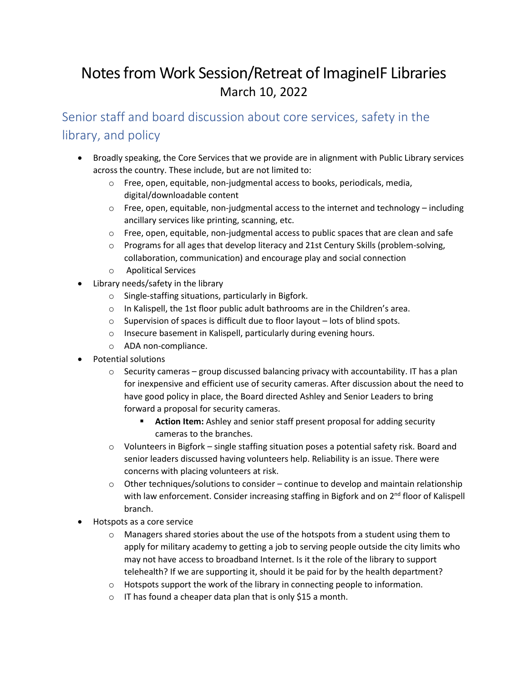# Notes from Work Session/Retreat of ImagineIF Libraries March 10, 2022

Senior staff and board discussion about core services, safety in the library, and policy

- Broadly speaking, the Core Services that we provide are in alignment with Public Library services across the country. These include, but are not limited to:
	- o Free, open, equitable, non-judgmental access to books, periodicals, media, digital/downloadable content
	- $\circ$  Free, open, equitable, non-judgmental access to the internet and technology including ancillary services like printing, scanning, etc.
	- $\circ$  Free, open, equitable, non-judgmental access to public spaces that are clean and safe
	- o Programs for all ages that develop literacy and 21st Century Skills (problem-solving, collaboration, communication) and encourage play and social connection
	- o Apolitical Services
- Library needs/safety in the library
	- o Single-staffing situations, particularly in Bigfork.
	- o In Kalispell, the 1st floor public adult bathrooms are in the Children's area.
	- o Supervision of spaces is difficult due to floor layout lots of blind spots.
	- o Insecure basement in Kalispell, particularly during evening hours.
	- o ADA non-compliance.
- Potential solutions
	- $\circ$  Security cameras group discussed balancing privacy with accountability. IT has a plan for inexpensive and efficient use of security cameras. After discussion about the need to have good policy in place, the Board directed Ashley and Senior Leaders to bring forward a proposal for security cameras.
		- **E** Action Item: Ashley and senior staff present proposal for adding security cameras to the branches.
	- $\circ$  Volunteers in Bigfork single staffing situation poses a potential safety risk. Board and senior leaders discussed having volunteers help. Reliability is an issue. There were concerns with placing volunteers at risk.
	- o Other techniques/solutions to consider continue to develop and maintain relationship with law enforcement. Consider increasing staffing in Bigfork and on 2<sup>nd</sup> floor of Kalispell branch.
- Hotspots as a core service
	- $\circ$  Managers shared stories about the use of the hotspots from a student using them to apply for military academy to getting a job to serving people outside the city limits who may not have access to broadband Internet. Is it the role of the library to support telehealth? If we are supporting it, should it be paid for by the health department?
	- $\circ$  Hotspots support the work of the library in connecting people to information.
	- o IT has found a cheaper data plan that is only \$15 a month.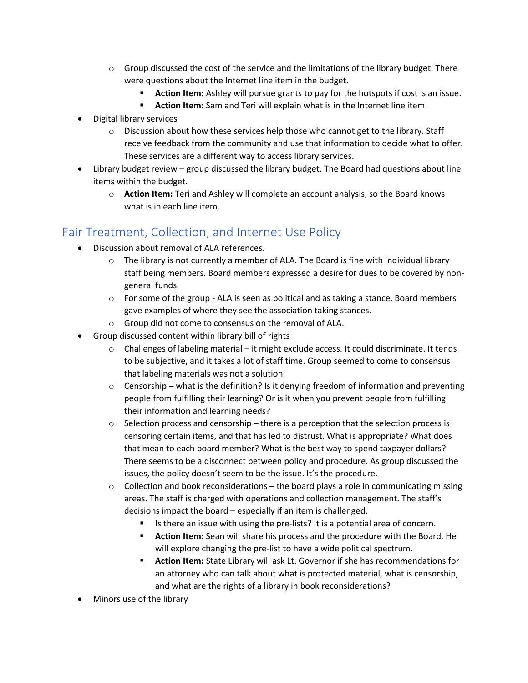- $\circ$  Group discussed the cost of the service and the limitations of the library budget. There were questions about the Internet line item in the budget.
	- **Action Item:** Ashley will pursue grants to pay for the hotspots if cost is an issue.
	- **Action Item:** Sam and Teri will explain what is in the Internet line item.
- Digital library services
	- $\circ$  Discussion about how these services help those who cannot get to the library. Staff receive feedback from the community and use that information to decide what to offer. These services are a different way to access library services.
- Library budget review group discussed the library budget. The Board had questions about line items within the budget.
	- o **Action Item:** Teri and Ashley will complete an account analysis, so the Board knows what is in each line item.

### Fair Treatment, Collection, and Internet Use Policy

- Discussion about removal of ALA references.
	- $\circ$  The library is not currently a member of ALA. The Board is fine with individual library staff being members. Board members expressed a desire for dues to be covered by nongeneral funds.
	- $\circ$  For some of the group ALA is seen as political and as taking a stance. Board members gave examples of where they see the association taking stances.
	- o Group did not come to consensus on the removal of ALA.
- Group discussed content within library bill of rights
	- $\circ$  Challenges of labeling material it might exclude access. It could discriminate. It tends to be subjective, and it takes a lot of staff time. Group seemed to come to consensus that labeling materials was not a solution.
	- $\circ$  Censorship what is the definition? Is it denying freedom of information and preventing people from fulfilling their learning? Or is it when you prevent people from fulfilling their information and learning needs?
	- $\circ$  Selection process and censorship there is a perception that the selection process is censoring certain items, and that has led to distrust. What is appropriate? What does that mean to each board member? What is the best way to spend taxpayer dollars? There seems to be a disconnect between policy and procedure. As group discussed the issues, the policy doesn't seem to be the issue. It's the procedure.
	- $\circ$  Collection and book reconsiderations the board plays a role in communicating missing areas. The staff is charged with operations and collection management. The staff's decisions impact the board – especially if an item is challenged.
		- Is there an issue with using the pre-lists? It is a potential area of concern.
		- **E** Action Item: Sean will share his process and the procedure with the Board. He will explore changing the pre-list to have a wide political spectrum.
		- **EXEDENT IT Action Item:** State Library will ask Lt. Governor if she has recommendations for an attorney who can talk about what is protected material, what is censorship, and what are the rights of a library in book reconsiderations?
- Minors use of the library